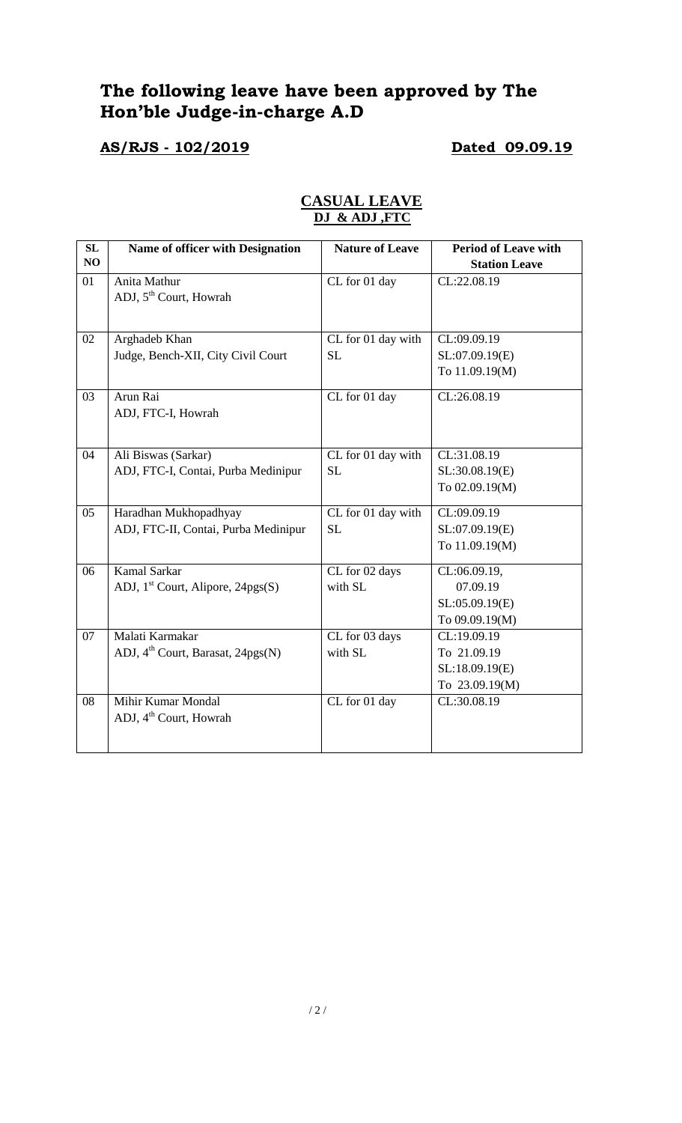# **The following leave have been approved by The Hon'ble Judge-in-charge A.D**

**AS/RJS - 102/2019 Dated 09.09.19**

| SL | Name of officer with Designation              | <b>Nature of Leave</b> | <b>Period of Leave with</b> |
|----|-----------------------------------------------|------------------------|-----------------------------|
| NO |                                               |                        | <b>Station Leave</b>        |
| 01 | Anita Mathur                                  | CL for 01 day          | CL:22.08.19                 |
|    | ADJ, 5 <sup>th</sup> Court, Howrah            |                        |                             |
|    |                                               |                        |                             |
| 02 | Arghadeb Khan                                 | CL for 01 day with     | CL:09.09.19                 |
|    | Judge, Bench-XII, City Civil Court            | <b>SL</b>              | SL:07.09.19(E)              |
|    |                                               |                        | To 11.09.19(M)              |
| 03 | Arun Rai                                      | CL for 01 day          | CL:26.08.19                 |
|    | ADJ, FTC-I, Howrah                            |                        |                             |
|    |                                               |                        |                             |
| 04 | Ali Biswas (Sarkar)                           | CL for 01 day with     | CL:31.08.19                 |
|    | ADJ, FTC-I, Contai, Purba Medinipur           | <b>SL</b>              | SL:30.08.19(E)              |
|    |                                               |                        | To 02.09.19(M)              |
| 05 | Haradhan Mukhopadhyay                         | CL for 01 day with     | CL:09.09.19                 |
|    | ADJ, FTC-II, Contai, Purba Medinipur          | <b>SL</b>              | SL:07.09.19(E)              |
|    |                                               |                        | To 11.09.19(M)              |
| 06 | <b>Kamal Sarkar</b>                           | CL for 02 days         | CL:06.09.19,                |
|    | ADJ, $1st$ Court, Alipore, 24pgs(S)           | with SL                | 07.09.19                    |
|    |                                               |                        | SL:05.09.19(E)              |
|    |                                               |                        | To 09.09.19(M)              |
| 07 | Malati Karmakar                               | CL for 03 days         | CL:19.09.19                 |
|    | ADJ, 4 <sup>th</sup> Court, Barasat, 24pgs(N) | with SL                | To 21.09.19                 |
|    |                                               |                        | SL:18.09.19(E)              |
|    |                                               |                        | To 23.09.19(M)              |
| 08 | Mihir Kumar Mondal                            |                        |                             |
|    | ADJ, 4 <sup>th</sup> Court, Howrah            | CL for 01 day          | CL:30.08.19                 |
|    |                                               |                        |                             |
|    |                                               |                        |                             |

# **CASUAL LEAVE DJ & ADJ ,FTC**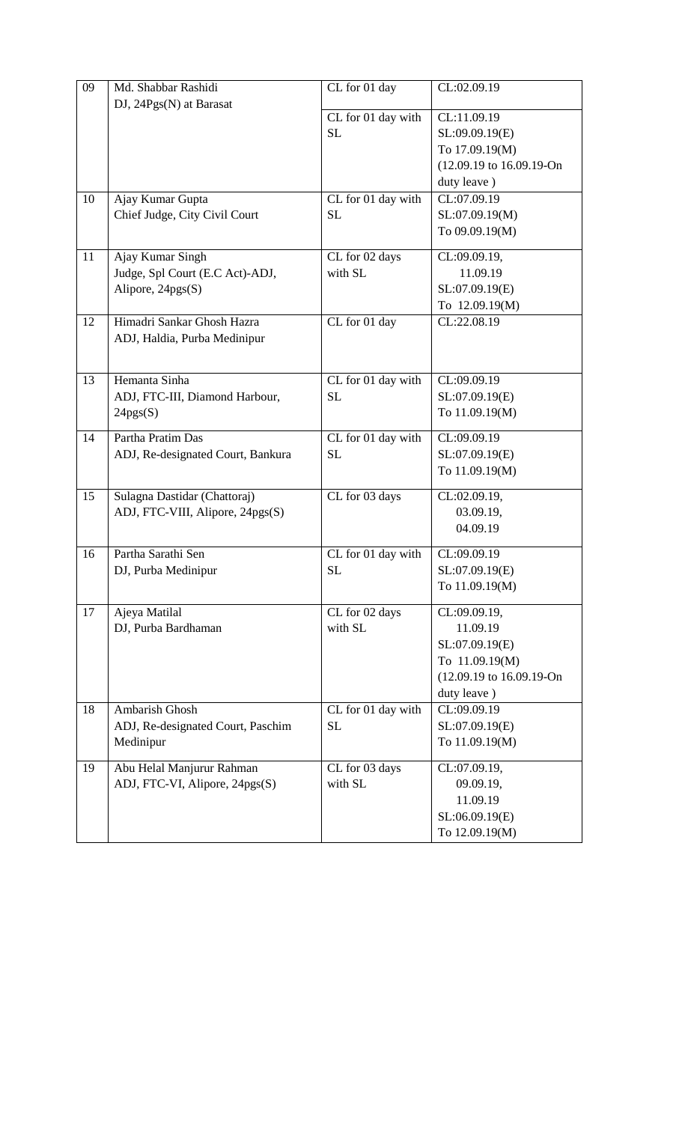| 09 | Md. Shabbar Rashidi               | CL for 01 day      | CL:02.09.19              |
|----|-----------------------------------|--------------------|--------------------------|
|    | DJ, 24Pgs(N) at Barasat           | CL for 01 day with | CL:11.09.19              |
|    |                                   | <b>SL</b>          |                          |
|    |                                   |                    | SL:09.09.19(E)           |
|    |                                   |                    | To 17.09.19(M)           |
|    |                                   |                    | (12.09.19 to 16.09.19-On |
|    |                                   |                    | duty leave)              |
| 10 | Ajay Kumar Gupta                  | CL for 01 day with | CL:07.09.19              |
|    | Chief Judge, City Civil Court     | <b>SL</b>          | SL:07.09.19(M)           |
|    |                                   |                    | To 09.09.19(M)           |
| 11 | Ajay Kumar Singh                  | CL for 02 days     | CL:09.09.19,             |
|    | Judge, Spl Court (E.C Act)-ADJ,   | with SL            | 11.09.19                 |
|    | Alipore, 24pgs(S)                 |                    | SL:07.09.19(E)           |
|    |                                   |                    | To 12.09.19(M)           |
| 12 | Himadri Sankar Ghosh Hazra        | CL for 01 day      | CL:22.08.19              |
|    | ADJ, Haldia, Purba Medinipur      |                    |                          |
|    |                                   |                    |                          |
| 13 | Hemanta Sinha                     | CL for 01 day with | CL:09.09.19              |
|    | ADJ, FTC-III, Diamond Harbour,    | <b>SL</b>          | SL:07.09.19(E)           |
|    | 24pgs(S)                          |                    | To 11.09.19(M)           |
|    |                                   |                    |                          |
| 14 | Partha Pratim Das                 | CL for 01 day with | CL:09.09.19              |
|    | ADJ, Re-designated Court, Bankura | <b>SL</b>          | SL:07.09.19(E)           |
|    |                                   |                    | To 11.09.19(M)           |
| 15 | Sulagna Dastidar (Chattoraj)      | CL for 03 days     | CL:02.09.19,             |
|    | ADJ, FTC-VIII, Alipore, 24pgs(S)  |                    | 03.09.19,                |
|    |                                   |                    | 04.09.19                 |
| 16 | Partha Sarathi Sen                | CL for 01 day with | CL:09.09.19              |
|    | DJ, Purba Medinipur               | <b>SL</b>          | SL:07.09.19(E)           |
|    |                                   |                    | To 11.09.19(M)           |
| 17 | Ajeya Matilal                     | CL for 02 days     | CL:09.09.19,             |
|    | DJ, Purba Bardhaman               | with SL            | 11.09.19                 |
|    |                                   |                    | SL:07.09.19(E)           |
|    |                                   |                    | To 11.09.19(M)           |
|    |                                   |                    | (12.09.19 to 16.09.19-On |
|    |                                   |                    | duty leave)              |
| 18 | Ambarish Ghosh                    | CL for 01 day with | CL:09.09.19              |
|    | ADJ, Re-designated Court, Paschim | <b>SL</b>          | SL:07.09.19(E)           |
|    | Medinipur                         |                    | To 11.09.19(M)           |
| 19 | Abu Helal Manjurur Rahman         | CL for 03 days     | CL:07.09.19,             |
|    | ADJ, FTC-VI, Alipore, 24pgs(S)    | with SL            | 09.09.19,                |
|    |                                   |                    | 11.09.19                 |
|    |                                   |                    | SL:06.09.19(E)           |
|    |                                   |                    | To 12.09.19(M)           |
|    |                                   |                    |                          |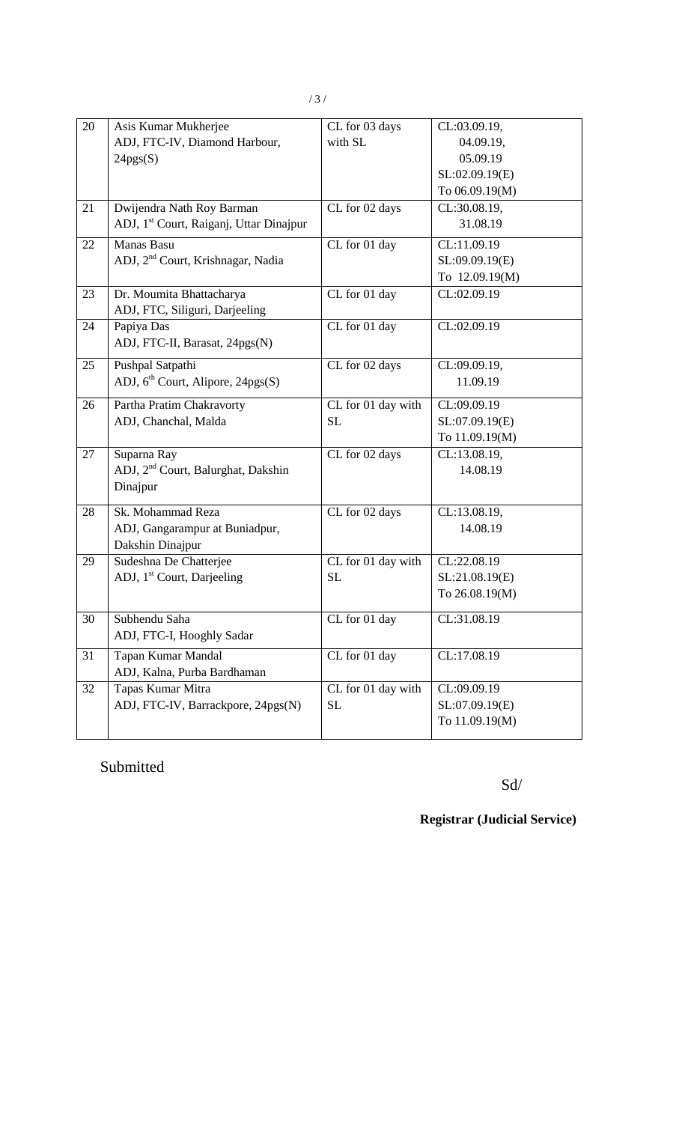| 20 | Asis Kumar Mukherjee                                | CL for 03 days     | CL:03.09.19,   |
|----|-----------------------------------------------------|--------------------|----------------|
|    | ADJ, FTC-IV, Diamond Harbour,                       | with SL            | 04.09.19,      |
|    | 24pgs(S)                                            |                    | 05.09.19       |
|    |                                                     |                    | SL:02.09.19(E) |
|    |                                                     |                    | To 06.09.19(M) |
| 21 | Dwijendra Nath Roy Barman                           | CL for 02 days     | CL:30.08.19,   |
|    | ADJ, 1 <sup>st</sup> Court, Raiganj, Uttar Dinajpur |                    | 31.08.19       |
| 22 | Manas Basu                                          | CL for 01 day      | CL:11.09.19    |
|    | ADJ, 2 <sup>nd</sup> Court, Krishnagar, Nadia       |                    | SL:09.09.19(E) |
|    |                                                     |                    | To 12.09.19(M) |
| 23 | Dr. Moumita Bhattacharya                            | CL for 01 day      | CL:02.09.19    |
|    | ADJ, FTC, Siliguri, Darjeeling                      |                    |                |
| 24 | Papiya Das                                          | CL for 01 day      | CL:02.09.19    |
|    | ADJ, FTC-II, Barasat, 24pgs(N)                      |                    |                |
| 25 | Pushpal Satpathi                                    | CL for 02 days     | CL:09.09.19,   |
|    | ADJ, 6 <sup>th</sup> Court, Alipore, 24pgs(S)       |                    | 11.09.19       |
| 26 | Partha Pratim Chakravorty                           | CL for 01 day with | CL:09.09.19    |
|    | ADJ, Chanchal, Malda                                | <b>SL</b>          | SL:07.09.19(E) |
|    |                                                     |                    | To 11.09.19(M) |
| 27 | Suparna Ray                                         | CL for 02 days     | CL:13.08.19,   |
|    | ADJ, 2 <sup>nd</sup> Court, Balurghat, Dakshin      |                    | 14.08.19       |
|    | Dinajpur                                            |                    |                |
| 28 | Sk. Mohammad Reza                                   | CL for 02 days     | CL:13.08.19,   |
|    | ADJ, Gangarampur at Buniadpur,                      |                    | 14.08.19       |
|    | Dakshin Dinajpur                                    |                    |                |
| 29 | Sudeshna De Chatterjee                              | CL for 01 day with | CL:22.08.19    |
|    | ADJ, 1 <sup>st</sup> Court, Darjeeling              | <b>SL</b>          | SL:21.08.19(E) |
|    |                                                     |                    | To 26.08.19(M) |
| 30 | Subhendu Saha                                       | CL for 01 day      | CL:31.08.19    |
|    | ADJ, FTC-I, Hooghly Sadar                           |                    |                |
| 31 | Tapan Kumar Mandal                                  | CL for 01 day      | CL:17.08.19    |
|    | ADJ, Kalna, Purba Bardhaman                         |                    |                |
| 32 | Tapas Kumar Mitra                                   | CL for 01 day with | CL:09.09.19    |
|    | ADJ, FTC-IV, Barrackpore, 24pgs(N)                  | $\rm SL$           | SL:07.09.19(E) |
|    |                                                     |                    | To 11.09.19(M) |
|    |                                                     |                    |                |

Submitted

Sd/

**Registrar (Judicial Service)**